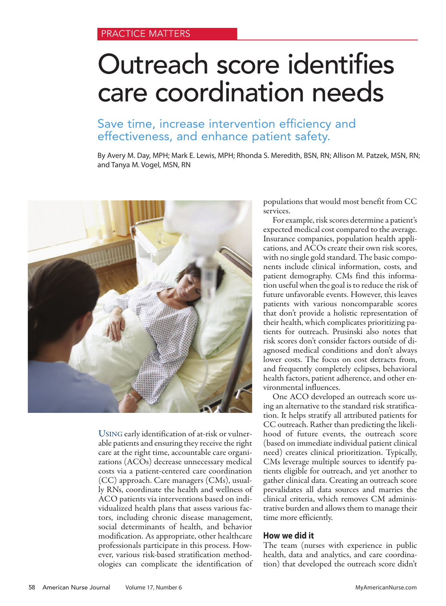# Outreach score identifies care coordination needs

# Save time, increase intervention efficiency and effectiveness, and enhance patient safety.

By Avery M. Day, MPH; Mark E. Lewis, MPH; Rhonda S. Meredith, BSN, RN; Allison M. Patzek, MSN, RN; and Tanya M. Vogel, MSN, RN



USING early identification of at-risk or vulnerable patients and ensuring they receive the right care at the right time, accountable care organizations (ACOs) decrease unnecessary medical costs via a patient-centered care coordination (CC) approach. Care managers (CMs), usually RNs, coordinate the health and wellness of ACO patients via interventions based on individualized health plans that assess various factors, including chronic disease management, social determinants of health, and behavior modification. As appropriate, other healthcare professionals participate in this process. However, various risk-based stratification methodologies can complicate the identification of

populations that would most benefit from CC services.

For example, risk scores determine a patient's expected medical cost compared to the average. Insurance companies, population health applications, and ACOs create their own risk scores, with no single gold standard. The basic components include clinical information, costs, and patient demography. CMs find this information useful when the goal is to reduce the risk of future unfavorable events. However, this leaves patients with various noncomparable scores that don't provide a holistic representation of their health, which complicates prioritizing patients for outreach. Prusinski also notes that risk scores don't consider factors outside of diagnosed medical conditions and don't always lower costs. The focus on cost detracts from, and frequently completely eclipses, behavioral health factors, patient adherence, and other environmental influences.

One ACO developed an outreach score using an alternative to the standard risk stratification. It helps stratify all attributed patients for CC outreach. Rather than predicting the likelihood of future events, the outreach score (based on immediate individual patient clinical need) creates clinical prioritization. Typically, CMs leverage multiple sources to identify patients eligible for outreach, and yet another to gather clinical data. Creating an outreach score prevalidates all data sources and marries the clinical criteria, which removes CM administrative burden and allows them to manage their time more efficiently.

# **How we did it**

The team (nurses with experience in public health, data and analytics, and care coordination) that developed the outreach score didn't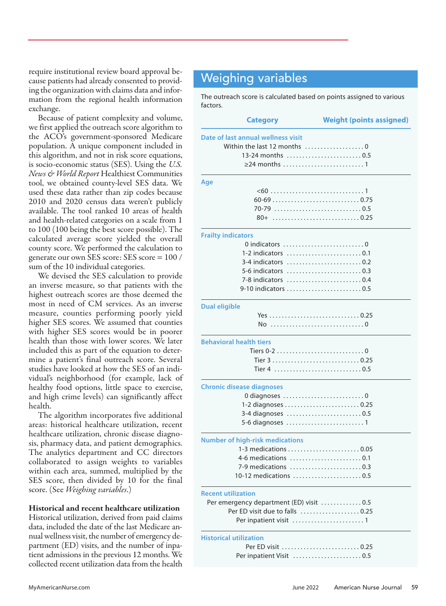require institutional review board approval because patients had already consented to providing the organization with claims data and information from the regional health information exchange.

Because of patient complexity and volume, we first applied the outreach score algorithm to the ACO's government-sponsored Medicare population. A unique component included in this algorithm, and not in risk score equations, is socio-economic status (SES). Using the *U.S. News & World Report* Healthiest Communities tool, we obtained county-level SES data. We used these data rather than zip codes because 2010 and 2020 census data weren't publicly available. The tool ranked 10 areas of health and health-related categories on a scale from 1 to 100 (100 being the best score possible). The calculated average score yielded the overall county score. We performed the calculation to generate our own SES score: SES score = 100 / sum of the 10 individual categories.

We devised the SES calculation to provide an inverse measure, so that patients with the highest outreach scores are those deemed the most in need of CM services. As an inverse measure, counties performing poorly yield higher SES scores. We assumed that counties with higher SES scores would be in poorer health than those with lower scores. We later included this as part of the equation to determine a patient's final outreach score. Several studies have looked at how the SES of an individual's neighborhood (for example, lack of healthy food options, little space to exercise, and high crime levels) can significantly affect health.

The algorithm incorporates five additional areas: historical healthcare utilization, recent healthcare utilization, chronic disease diagnosis, pharmacy data, and patient demographics. The analytics department and CC directors collaborated to assign weights to variables within each area, summed, multiplied by the SES score, then divided by 10 for the final score. (See *Weighing variables*.)

## **Historical and recent healthcare utilization**

Historical utilization, derived from paid claims data, included the date of the last Medicare annual wellness visit, the number of emergency department (ED) visits, and the number of inpatient admissions in the previous 12 months. We collected recent utilization data from the health

# Weighing variables

l

The outreach score is calculated based on points assigned to various factors.

| <b>Category</b>                                               | <b>Weight (points assigned)</b> |
|---------------------------------------------------------------|---------------------------------|
| Date of last annual wellness visit                            |                                 |
| Within the last 12 months $\ldots, \ldots, \ldots, \ldots, 0$ |                                 |
| 13-24 months  0.5                                             |                                 |
|                                                               |                                 |
| Age                                                           |                                 |
|                                                               |                                 |
|                                                               |                                 |
|                                                               |                                 |
|                                                               |                                 |
| <b>Frailty indicators</b>                                     |                                 |
|                                                               |                                 |
| 1-2 indicators 0.1                                            |                                 |
| 3-4 indicators 0.2                                            |                                 |
| 5-6 indicators 0.3                                            |                                 |
| 7-8 indicators 0.4                                            |                                 |
| 9-10 indicators  0.5                                          |                                 |
| <b>Dual eligible</b>                                          |                                 |
|                                                               |                                 |
|                                                               |                                 |
| <b>Behavioral health tiers</b>                                |                                 |
| Tiers 0-2 0                                                   |                                 |
|                                                               |                                 |
|                                                               |                                 |
| <b>Chronic disease diagnoses</b>                              |                                 |
| 0 diagnoses 0                                                 |                                 |
| 1-2 diagnoses 0.25                                            |                                 |
|                                                               |                                 |
|                                                               |                                 |
| <b>Number of high-risk medications</b>                        |                                 |
|                                                               |                                 |
| 4-6 medications                                               |                                 |
| 7-9 medications  0.3                                          |                                 |
| 10-12 medications 0.5                                         |                                 |
| <b>Recent utilization</b>                                     |                                 |
| Per emergency department (ED) visit  0.5                      |                                 |
| Per ED visit due to falls  0.25                               |                                 |
|                                                               |                                 |
| <b>Historical utilization</b>                                 |                                 |
| Per ED visit 0.25                                             |                                 |
| Per inpatient Visit 0.5                                       |                                 |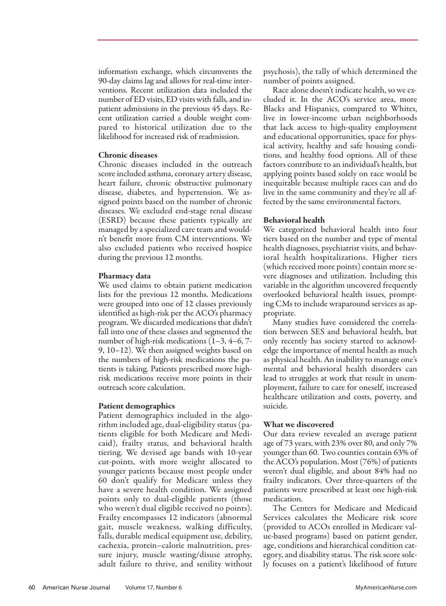information exchange, which circumvents the 90-day claims lag and allows for real-time interventions. Recent utilization data included the number of ED visits, ED visits with falls, and inpatient admissions in the previous 45 days. Recent utilization carried a double weight compared to historical utilization due to the likelihood for increased risk of readmission.

### **Chronic diseases**

Chronic diseases included in the outreach score included asthma, coronary artery disease, heart failure, chronic obstructive pulmonary disease, diabetes, and hypertension. We assigned points based on the number of chronic diseases. We excluded end-stage renal disease (ESRD) because these patients typically are managed by a specialized care team and wouldn't benefit more from CM interventions. We also excluded patients who received hospice during the previous 12 months.

#### **Pharmacy data**

We used claims to obtain patient medication lists for the previous 12 months. Medications were grouped into one of 12 classes previously identified as high-risk per the ACO's pharmacy program. We discarded medications that didn't fall into one of these classes and segmented the number of high-risk medications (1–3, 4–6, 7- 9, 10–12). We then assigned weights based on the numbers of high-risk medications the patients is taking. Patients prescribed more highrisk medications receive more points in their outreach score calculation.

#### **Patient demographics**

Patient demographics included in the algorithm included age, dual-eligibility status (patients eligible for both Medicare and Medicaid), frailty status, and behavioral health tiering. We devised age bands with 10-year cut-points, with more weight allocated to younger patients because most people under 60 don't qualify for Medicare unless they have a severe health condition. We assigned points only to dual-eligible patients (those who weren't dual eligible received no points). Frailty encompasses 12 indicators (abnormal gait, muscle weakness, walking difficulty, falls, durable medical equipment use, debility, cachexia, protein–calorie malnutrition, pressure injury, muscle wasting/disuse atrophy, adult failure to thrive, and senility without

psychosis), the tally of which determined the number of points assigned.

Race alone doesn't indicate health, so we excluded it. In the ACO's service area, more Blacks and Hispanics, compared to Whites, live in lower-income urban neighborhoods that lack access to high-quality employment and educational opportunities, space for physical activity, healthy and safe housing conditions, and healthy food options. All of these factors contribute to an individual's health, but applying points based solely on race would be inequitable because multiple races can and do live in the same community and they're all affected by the same environmental factors.

### **Behavioral health**

We categorized behavioral health into four tiers based on the number and type of mental health diagnoses, psychiatrist visits, and behavioral health hospitalizations. Higher tiers (which received more points) contain more severe diagnoses and utilization. Including this variable in the algorithm uncovered frequently overlooked behavioral health issues, prompting CMs to include wraparound services as appropriate.

Many studies have considered the correlation between SES and behavioral health, but only recently has society started to acknowledge the importance of mental health as much as physical health. An inability to manage one's mental and behavioral health disorders can lead to struggles at work that result in unemployment, failure to care for oneself, increased healthcare utilization and costs, poverty, and suicide.

## **What we discovered**

Our data review revealed an average patient age of 73 years, with 23% over 80, and only 7% younger than 60. Two counties contain 63% of the ACO's population. Most (76%) of patients weren't dual eligible, and about 84% had no frailty indicators. Over three-quarters of the patients were prescribed at least one high-risk medication.

The Centers for Medicare and Medicaid Services calculates the Medicare risk score (provided to ACOs enrolled in Medicare value-based programs) based on patient gender, age, conditions and hierarchical condition category, and disability status. The risk score solely focuses on a patient's likelihood of future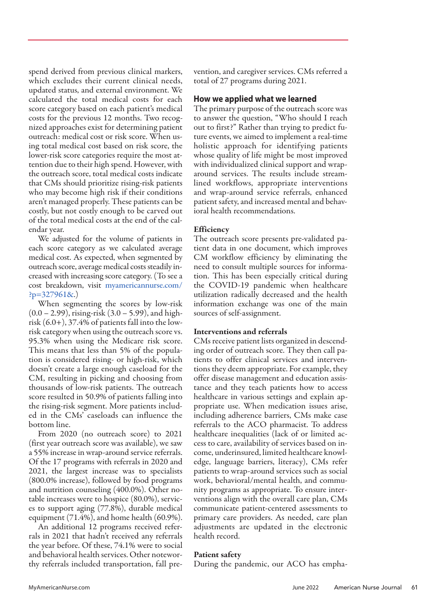spend derived from previous clinical markers, which excludes their current clinical needs, updated status, and external environment. We calculated the total medical costs for each score category based on each patient's medical costs for the previous 12 months. Two recognized approaches exist for determining patient outreach: medical cost or risk score. When using total medical cost based on risk score, the lower-risk score categories require the most attention due to their high spend. However, with the outreach score, total medical costs indicate that CMs should prioritize rising-risk patients who may become high risk if their conditions aren't managed properly. These patients can be costly, but not costly enough to be carved out of the total medical costs at the end of the calendar year.

We adjusted for the volume of patients in each score category as we calculated average medical cost. As expected, when segmented by outreach score, average medical costs steadily increased with increasing score category. (To see a cost breakdown, visit myamericannurse.com/  $?p=327961&.$ 

When segmenting the scores by low-risk (0.0 – 2.99), rising-risk (3.0 – 5.99), and highrisk (6.0+), 37.4% of patients fall into the lowrisk category when using the outreach score vs. 95.3% when using the Medicare risk score. This means that less than 5% of the population is considered rising- or high-risk, which doesn't create a large enough caseload for the CM, resulting in picking and choosing from thousands of low-risk patients. The outreach score resulted in 50.9% of patients falling into the rising-risk segment. More patients included in the CMs' caseloads can influence the bottom line.

From 2020 (no outreach score) to 2021 (first year outreach score was available), we saw a 55% increase in wrap-around service referrals. Of the 17 programs with referrals in 2020 and 2021, the largest increase was to specialists (800.0% increase), followed by food programs and nutrition counseling (400.0%). Other notable increases were to hospice (80.0%), services to support aging (77.8%), durable medical equipment (71.4%), and home health (60.9%).

An additional 12 programs received referrals in 2021 that hadn't received any referrals the year before. Of these, 74.1% were to social and behavioral health services. Other noteworthy referrals included transportation, fall prevention, and caregiver services. CMs referred a total of 27 programs during 2021.

# **How we applied what we learned**

The primary purpose of the outreach score was to answer the question, "Who should I reach out to first?" Rather than trying to predict future events, we aimed to implement a real-time holistic approach for identifying patients whose quality of life might be most improved with individualized clinical support and wraparound services. The results include streamlined workflows, appropriate interventions and wrap-around service referrals, enhanced patient safety, and increased mental and behavioral health recommendations.

## **Efficiency**

The outreach score presents pre-validated patient data in one document, which improves CM workflow efficiency by eliminating the need to consult multiple sources for information. This has been especially critical during the COVID-19 pandemic when healthcare utilization radically decreased and the health information exchange was one of the main sources of self-assignment.

#### **Interventions and referrals**

CMs receive patient lists organized in descending order of outreach score. They then call patients to offer clinical services and interventions they deem appropriate. For example, they offer disease management and education assistance and they teach patients how to access healthcare in various settings and explain appropriate use. When medication issues arise, including adherence barriers, CMs make case referrals to the ACO pharmacist. To address healthcare inequalities (lack of or limited access to care, availability of services based on income, underinsured, limited healthcare knowledge, language barriers, literacy), CMs refer patients to wrap-around services such as social work, behavioral/mental health, and community programs as appropriate. To ensure interventions align with the overall care plan, CMs communicate patient-centered assessments to primary care providers. As needed, care plan adjustments are updated in the electronic health record.

## **Patient safety**

During the pandemic, our ACO has empha-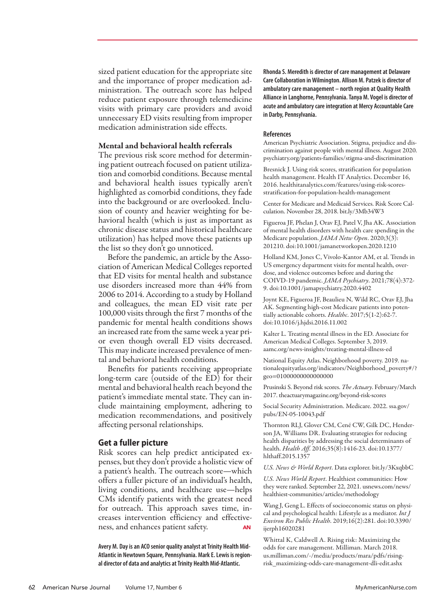sized patient education for the appropriate site and the importance of proper medication administration. The outreach score has helped reduce patient exposure through telemedicine visits with primary care providers and avoid unnecessary ED visits resulting from improper medication administration side effects.

# **Mental and behavioral health referrals**

The previous risk score method for determining patient outreach focused on patient utilization and comorbid conditions. Because mental and behavioral health issues typically aren't highlighted as comorbid conditions, they fade into the background or are overlooked. Inclusion of county and heavier weighting for behavioral health (which is just as important as chronic disease status and historical healthcare utilization) has helped move these patients up the list so they don't go unnoticed.

Before the pandemic, an article by the Association of American Medical Colleges reported that ED visits for mental health and substance use disorders increased more than 44% from 2006 to 2014. According to a study by Holland and colleagues, the mean ED visit rate per 100,000 visits through the first 7 months of the pandemic for mental health conditions shows an increased rate from the same week a year prior even though overall ED visits decreased. This may indicate increased prevalence of mental and behavioral health conditions.

Benefits for patients receiving appropriate long-term care (outside of the ED) for their mental and behavioral health reach beyond the patient's immediate mental state. They can include maintaining employment, adhering to medication recommendations, and positively affecting personal relationships.

# **Get a fuller picture**

Risk scores can help predict anticipated expenses, but they don't provide a holistic view of a patient's health. The outreach score—which offers a fuller picture of an individual's health, living conditions, and healthcare use—helps CMs identify patients with the greatest need for outreach. This approach saves time, increases intervention efficiency and effectiveness, and enhances patient safety.

**Avery M. Day is an ACO senior quality analyst at Trinity Health Mid-Atlantic in Newtown Square, Pennsylvania. Mark E. Lewis is regional director of data and analytics at Trinity Health Mid-Atlantic.**

**Rhonda S. Meredith is director of care management at Delaware Care Collaboration in Wilmington. Allison M. Patzek is director of ambulatory care management – north region at Quality Health Alliance in Langhorne, Pennsylvania. Tanya M. Vogel is director of acute and ambulatory care integration at Mercy Accountable Care in Darby, Pennsylvania.**

#### **References**

American Psychiatric Association. Stigma, prejudice and discrimination against people with mental illness. August 2020. psychiatry.org/patients-families/stigma-and-discrimination

Bresnick J. Using risk scores, stratification for population health management. Health IT Analytics. December 16, 2016. healthitanalytics.com/features/using-risk-scoresstratification-for-population-health-management

Center for Medicare and Medicaid Services. Risk Score Calculation. November 28, 2018. bit.ly/3Mb34W3

Figueroa JF, Phelan J, Orav EJ, Patel V, Jha AK. Association of mental health disorders with health care spending in the Medicare population. *JAMA Netw Open*. 2020;3(3): 201210. doi:10.1001/jamanetworkopen.2020.1210

Holland KM, Jones C, Vivolo-Kantor AM, et al. Trends in US emergency department visits for mental health, overdose, and violence outcomes before and during the COIVD-19 pandemic. *JAMA Psychiatry*. 2021;78(4):372- 9. doi:10.1001/jamapsychiatry.2020.4402

Joynt KE, Figueroa JF, Beaulieu N, Wild RC, Orav EJ, Jha AK. Segmenting high-cost Medicare patients into potentially actionable cohorts. *Healthc*. 2017;5(1-2):62-7. doi:10.1016/j.hjdsi.2016.11.002

Kalter L. Treating mental illness in the ED. Associate for American Medical Colleges. September 3, 2019. aamc.org/news-insights/treating-mental-illness-ed

National Equity Atlas. Neighborhood poverty. 2019. nationalequityatlas.org/indicators/Neighborhood\_poverty#/? geo=01000000000000000

Prusinski S. Beyond risk scores. *The Actuary*. February/March 2017. theactuarymagazine.org/beyond-risk-scores

Social Security Administration. Medicare. 2022. ssa.gov/ pubs/EN-05-10043.pdf

Thornton RLJ, Glover CM, Cené CW, Gilk DC, Henderson JA, Williams DR. Evaluating strategies for reducing health disparities by addressing the social determinants of health. *Health Aff*. 2016;35(8):1416-23. doi:10.1377/ hlthaff.2015.1357

*U.S. News & World Report*. Data explorer. bit.ly/3KxqbbC

*U.S. News World Report*. Healthiest communities: How they were ranked. September 22, 2021. usnews.com/news/ healthiest-communities/articles/methodology

Wang J, Geng L. Effects of socioeconomic status on physical and psychological health: Lifestyle as a mediator. *Int J Environ Res Public Health*. 2019;16(2):281. doi:10.3390/ ijerph16020281

Whittal K, Caldwell A. Rising risk: Maximizing the odds for care management. Milliman. March 2018. us.milliman.com/-/media/products/mara/pdfs/risingrisk\_maximizing-odds-care-management-dli-edit.ashx